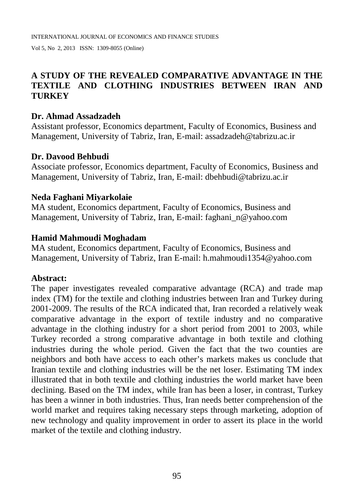# **A STUDY OF THE REVEALED COMPARATIVE ADVANTAGE IN THE TEXTILE AND CLOTHING INDUSTRIES BETWEEN IRAN AND TURKEY**

## **Dr. Ahmad Assadzadeh**

Assistant professor, Economics department, Faculty of Economics, Business and Management, University of Tabriz, Iran, E-mail: [assadzadeh@tabrizu.ac.ir](mailto:assadzadeh@tabrizu.ac.ir)

#### **Dr. Davood Behbudi**

Associate professor, Economics department, Faculty of Economics, Business and Management, University of Tabriz, Iran, E-mail: [dbehbudi@tabrizu.ac.ir](mailto:dbehbudi@tabrizu.ac.ir)

#### **Neda Faghani Miyarkolaie**

MA student, Economics department, Faculty of Economics, Business and Management, University of Tabriz, Iran, E-mail: faghani n@yahoo.com

#### **Hamid Mahmoudi Moghadam**

MA student, Economics department, Faculty of Economics, Business and Management, University of Tabriz, Iran E-mail: [h.mahmoudi1354@yahoo.com](mailto:h.mahmoudi1354@yahoo.com)

#### **Abstract:**

The paper investigates revealed comparative advantage (RCA) and trade map index (TM) for the textile and clothing industries between Iran and Turkey during 2001-2009. The results of the RCA indicated that, Iran recorded a relatively weak comparative advantage in the export of textile industry and no comparative advantage in the clothing industry for a short period from 2001 to 2003, while Turkey recorded a strong comparative advantage in both textile and clothing industries during the whole period. Given the fact that the two counties are neighbors and both have access to each other's markets makes us conclude that Iranian textile and clothing industries will be the net loser. Estimating TM index illustrated that in both textile and clothing industries the world market have been declining. Based on the TM index, while Iran has been a loser, in contrast, Turkey has been a winner in both industries. Thus, Iran needs better comprehension of the world market and requires taking necessary steps through marketing, adoption of new technology and quality improvement in order to assert its place in the world market of the textile and clothing industry.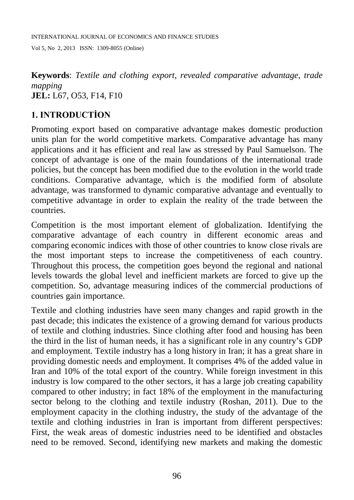INTERNATIONAL JOURNAL OF ECONOMICS AND FINANCE STUDIES

Vol 5, No 2, 2013 ISSN: 1309-8055 (Online)

**Keywords**: *Textile and clothing export, revealed comparative advantage, trade mapping* **JEL:** L67, O53, F14, F10

# **1. INTRODUCTİON**

Promoting export based on comparative advantage makes domestic production units plan for the world competitive markets. Comparative advantage has many applications and it has efficient and real law as stressed by Paul Samuelson. The concept of advantage is one of the main foundations of the international trade policies, but the concept has been modified due to the evolution in the world trade conditions. Comparative advantage, which is the modified form of absolute advantage, was transformed to dynamic comparative advantage and eventually to competitive advantage in order to explain the reality of the trade between the countries.

Competition is the most important element of globalization. Identifying the comparative advantage of each country in different economic areas and comparing economic indices with those of other countries to know close rivals are the most important steps to increase the competitiveness of each country. Throughout this process, the competition goes beyond the regional and national levels towards the global level and inefficient markets are forced to give up the competition. So, advantage measuring indices of the commercial productions of countries gain importance.

Textile and clothing industries have seen many changes and rapid growth in the past decade; this indicates the existence of a growing demand for various products of textile and clothing industries. Since clothing after food and housing has been the third in the list of human needs, it has a significant role in any country's GDP and employment. Textile industry has a long history in Iran; it has a great share in providing domestic needs and employment. It comprises 4% of the added value in Iran and 10% of the total export of the country. While foreign investment in this industry is low compared to the other sectors, it has a large job creating capability compared to other industry; in fact 18% of the employment in the manufacturing sector belong to the clothing and textile industry [\(Roshan, 2011\)](#page-11-0). Due to the employment capacity in the clothing industry, the study of the advantage of the textile and clothing industries in Iran is important from different perspectives: First, the weak areas of domestic industries need to be identified and obstacles need to be removed. Second, identifying new markets and making the domestic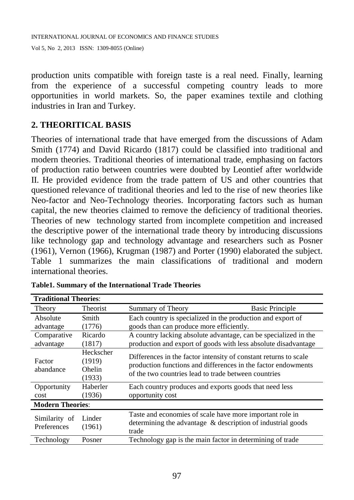production units compatible with foreign taste is a real need. Finally, learning from the experience of a successful competing country leads to more opportunities in world markets. So, the paper examines textile and clothing industries in Iran and Turkey.

## **2. THEORITICAL BASIS**

Theories of international trade that have emerged from the discussions of Adam Smith (1774) and David Ricardo (1817) could be classified into traditional and modern theories. Traditional theories of international trade, emphasing on factors of production ratio between countries were doubted by Leontief after worldwide II. He provided evidence from the trade pattern of US and other countries that questioned relevance of traditional theories and led to the rise of new theories like Neo-factor and Neo-Technology theories. Incorporating factors such as human capital, the new theories claimed to remove the deficiency of traditional theories. Theories of new technology started from incomplete competition and increased the descriptive power of the international trade theory by introducing discussions like technology gap and technology advantage and researchers such as Posner (1961), Vernon (1966), Krugman (1987) and Porter (1990) elaborated the subject. [Table 1](#page-2-0) summarizes the main classifications of traditional and modern international theories.

| <b>Traditional Theories:</b> |                                                |                                                                                                                                                                                           |                        |  |  |  |
|------------------------------|------------------------------------------------|-------------------------------------------------------------------------------------------------------------------------------------------------------------------------------------------|------------------------|--|--|--|
| Theory                       | <b>Theorist</b>                                | Summary of Theory                                                                                                                                                                         | <b>Basic Principle</b> |  |  |  |
| Absolute<br>advantage        | Smith<br>(1776)                                | Each country is specialized in the production and export of<br>goods than can produce more efficiently.                                                                                   |                        |  |  |  |
| Comparative<br>advantage     | Ricardo<br>(1817)                              | A country lacking absolute advantage, can be specialized in the<br>production and export of goods with less absolute disadvantage                                                         |                        |  |  |  |
| Factor<br>abandance          | Heckscher<br>(1919)<br><b>Ohelin</b><br>(1933) | Differences in the factor intensity of constant returns to scale<br>production functions and differences in the factor endowments<br>of the two countries lead to trade between countries |                        |  |  |  |
| Opportunity<br>cost          | Haberler<br>(1936)                             | Each country produces and exports goods that need less<br>opportunity cost                                                                                                                |                        |  |  |  |
| <b>Modern Theories:</b>      |                                                |                                                                                                                                                                                           |                        |  |  |  |
| Similarity of<br>Preferences | Linder<br>(1961)                               | Taste and economies of scale have more important role in<br>determining the advantage & description of industrial goods<br>trade                                                          |                        |  |  |  |
| Technology                   | Posner                                         | Technology gap is the main factor in determining of trade                                                                                                                                 |                        |  |  |  |

<span id="page-2-0"></span>**Table1. Summary of the International Trade Theories**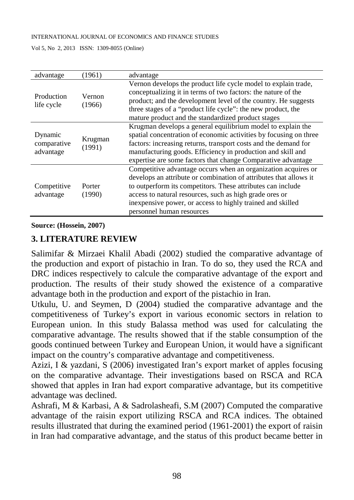#### INTERNATIONAL JOURNAL OF ECONOMICS AND FINANCE STUDIES

Vol 5, No 2, 2013 ISSN: 1309-8055 (Online)

| advantage                           | (1961)            | advantage                                                                                                                                                                                                                                                                                                                                               |
|-------------------------------------|-------------------|---------------------------------------------------------------------------------------------------------------------------------------------------------------------------------------------------------------------------------------------------------------------------------------------------------------------------------------------------------|
| Production<br>life cycle            | Vernon<br>(1966)  | Vernon develops the product life cycle model to explain trade,<br>conceptualizing it in terms of two factors: the nature of the<br>product; and the development level of the country. He suggests<br>three stages of a "product life cycle": the new product, the<br>mature product and the standardized product stages                                 |
| Dynamic<br>comparative<br>advantage | Krugman<br>(1991) | Krugman develops a general equilibrium model to explain the<br>spatial concentration of economic activities by focusing on three<br>factors: increasing returns, transport costs and the demand for<br>manufacturing goods. Efficiency in production and skill and<br>expertise are some factors that change Comparative advantage                      |
| Competitive<br>advantage            | Porter<br>(1990)  | Competitive advantage occurs when an organization acquires or<br>develops an attribute or combination of attributes that allows it<br>to outperform its competitors. These attributes can include<br>access to natural resources, such as high grade ores or<br>inexpensive power, or access to highly trained and skilled<br>personnel human resources |

**Source: [\(Hossein, 2007\)](#page-11-1)**

## **3. LITERATURE REVIEW**

Salimifar & Mirzaei Khalil Abadi [\(2002\)](#page-11-2) studied the comparative advantage of the production and export of pistachio in Iran. To do so, they used the RCA and DRC indices respectively to calcule the comparative advantage of the export and production. The results of their study showed the existence of a comparative advantage both in the production and export of the pistachio in Iran.

Utkulu, U. and Seymen, D [\(2004\)](#page-12-0) studied the comparative advantage and the competitiveness of Turkey's export in various economic sectors in relation to European union. In this study Balassa method was used for calculating the comparative advantage. The results showed that if the stable consumption of the goods continued between Turkey and European Union, it would have a significant impact on the country's comparative advantage and competitiveness.

Azizi, I & yazdani, S [\(2006\)](#page-11-3) investigated Iran's export market of apples focusing on the comparative advantage. Their investigations based on RSCA and RCA showed that apples in Iran had export comparative advantage, but its competitive advantage was declined.

Ashrafi, M & Karbasi, A & Sadrolasheafi, S.M [\(2007\)](#page-11-4) Computed the comparative advantage of the raisin export utilizing RSCA and RCA indices. The obtained results illustrated that during the examined period (1961-2001) the export of raisin in Iran had comparative advantage, and the status of this product became better in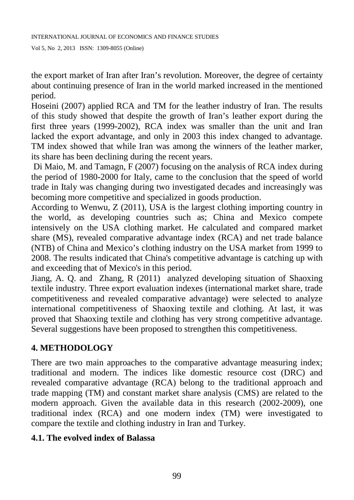the export market of Iran after Iran's revolution. Moreover, the degree of certainty about continuing presence of Iran in the world marked increased in the mentioned period.

Hoseini [\(2007\)](#page-11-1) applied RCA and TM for the leather industry of Iran. The results of this study showed that despite the growth of Iran's leather export during the first three years (1999-2002), RCA index was smaller than the unit and Iran lacked the export advantage, and only in 2003 this index changed to advantage. TM index showed that while Iran was among the winners of the leather marker, its share has been declining during the recent years.

Di Maio, M. and Tamagn, F [\(2007\)](#page-11-5) focusing on the analysis of RCA index during the period of 1980-2000 for Italy, came to the conclusion that the speed of world trade in Italy was changing during two investigated decades and increasingly was becoming more competitive and specialized in goods production.

According to Wenwu, Z [\(2011\)](#page-12-1), USA is the largest clothing importing country in the world, as developing countries such as; China and Mexico compete intensively on the USA clothing market. He calculated and compared market share (MS), revealed comparative advantage index (RCA) and net trade balance (NTB) of China and Mexico's clothing industry on the USA market from 1999 to 2008. The results indicated that China's competitive advantage is catching up with and exceeding that of Mexico's in this period.

Jiang, A. Q. and Zhang, R [\(2011\)](#page-11-6) analyzed developing situation of Shaoxing textile industry. Three export evaluation indexes (international market share, trade competitiveness and revealed comparative advantage) were selected to analyze international competitiveness of Shaoxing textile and clothing. At last, it was proved that Shaoxing textile and clothing has very strong competitive advantage. Several suggestions have been proposed to strengthen this competitiveness.

# **4. METHODOLOGY**

There are two main approaches to the comparative advantage measuring index; traditional and modern. The indices like domestic resource cost (DRC) and revealed comparative advantage (RCA) belong to the traditional approach and trade mapping (TM) and constant market share analysis (CMS) are related to the modern approach. Given the available data in this research (2002-2009), one traditional index (RCA) and one modern index (TM) were investigated to compare the textile and clothing industry in Iran and Turkey.

## **4.1. The evolved index of Balassa**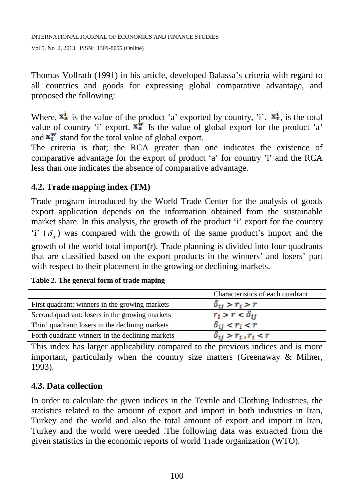Thomas Vollrath [\(1991\)](#page-12-2) in his article, developed Balassa's criteria with regard to all countries and goods for expressing global comparative advantage, and proposed the following:

Where,  $\mathbf{x}_a^i$  is the value of the product 'a' exported by country, 'i'.  $\mathbf{x}_t^i$ , is the total value of country 'i' export.  $\overline{\mathbf{x}_{a}}^{\mathbf{w}}$  Is the value of global export for the product 'a' and  $\mathbf{x}_t^{\mathbf{w}}$  stand for the total value of global export.

The criteria is that; the RCA greater than one indicates the existence of comparative advantage for the export of product 'a' for country 'i' and the RCA less than one indicates the absence of comparative advantage.

## **4.2. Trade mapping index (TM)**

Trade program introduced by the World Trade Center for the analysis of goods export application depends on the information obtained from the sustainable market share. In this analysis, the growth of the product 'i' export for the country 'i'  $(\delta_{ii})$  was compared with the growth of the same product's import and the growth of the world total import(r). Trade planning is divided into four quadrants that are classified based on the export products in the winners' and losers' part with respect to their placement in the growing or declining markets.

|  |  |  |  |  | Table 2. The general form of trade maping |
|--|--|--|--|--|-------------------------------------------|
|--|--|--|--|--|-------------------------------------------|

|                                                  | Characteristics of each quadrant |
|--------------------------------------------------|----------------------------------|
| First quadrant: winners in the growing markets   | $\delta_{ij} > r_i > r$          |
| Second quadrant: losers in the growing markets   | $r_i > r < \delta_{ij}$          |
| Third quadrant: losers in the declining markets  | $\delta_{ij} < r_i < r$          |
| Forth quadrant: winners in the declining markets | $\delta_{ij} > r_i$ , $r_i < r$  |

This index has larger applicability compared to the previous indices and is more important, particularly when the country size matters [\(Greenaway & Milner,](#page-11-7)  [1993\)](#page-11-7).

## **4.3. Data collection**

In order to calculate the given indices in the Textile and Clothing Industries, the statistics related to the amount of export and import in both industries in Iran, Turkey and the world and also the total amount of export and import in Iran, Turkey and the world were needed .The following data was extracted from the given statistics in the economic reports of world Trade organization (WTO).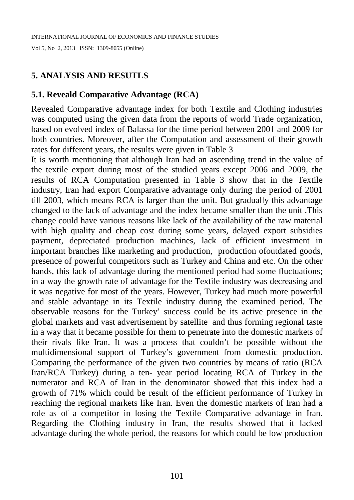# **5. ANALYSIS AND RESUTLS**

## **5.1. Reveald Comparative Advantage (RCA)**

Revealed Comparative advantage index for both Textile and Clothing industries was computed using the given data from the reports of world Trade organization, based on evolved index of Balassa for the time period between 2001 and 2009 for both countries. Moreover, after the Computation and assessment of their growth rates for different years, the results were given in [Table 3](#page-7-0)

It is worth mentioning that although Iran had an ascending trend in the value of the textile export during most of the studied years except 2006 and 2009, the results of RCA Computation presented in [Table 3](#page-7-0) show that in the Textile industry, Iran had export Comparative advantage only during the period of 2001 till 2003, which means RCA is larger than the unit. But gradually this advantage changed to the lack of advantage and the index became smaller than the unit .This change could have various reasons like lack of the availability of the raw material with high quality and cheap cost during some years, delayed export subsidies payment, depreciated production machines, lack of efficient investment in important branches like marketing and production, production ofoutdated goods, presence of powerful competitors such as Turkey and China and etc. On the other hands, this lack of advantage during the mentioned period had some fluctuations; in a way the growth rate of advantage for the Textile industry was decreasing and it was negative for most of the years. However, Turkey had much more powerful and stable advantage in its Textile industry during the examined period. The observable reasons for the Turkey' success could be its active presence in the global markets and vast advertisement by satellite and thus forming regional taste in a way that it became possible for them to penetrate into the domestic markets of their rivals like Iran. It was a process that couldn't be possible without the multidimensional support of Turkey's government from domestic production. Comparing the performance of the given two countries by means of ratio (RCA Iran/RCA Turkey) during a ten- year period locating RCA of Turkey in the numerator and RCA of Iran in the denominator showed that this index had a growth of 71% which could be result of the efficient performance of Turkey in reaching the regional markets like Iran. Even the domestic markets of Iran had a role as of a competitor in losing the Textile Comparative advantage in Iran. Regarding the Clothing industry in Iran, the results showed that it lacked advantage during the whole period, the reasons for which could be low production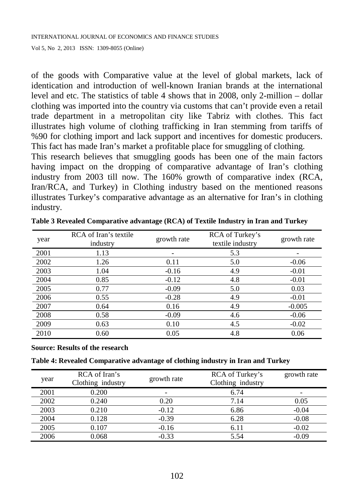of the goods with Comparative value at the level of global markets, lack of identication and introduction of well-known Iranian brands at the international level and etc. The statistics of table 4 shows that in 2008, only 2-million – dollar clothing was imported into the country via customs that can't provide even a retail trade department in a metropolitan city like Tabriz with clothes. This fact illustrates high volume of clothing trafficking in Iran stemming from tariffs of %90 for clothing import and lack support and incentives for domestic producers. This fact has made Iran's market a profitable place for smuggling of clothing.

This research believes that smuggling goods has been one of the main factors having impact on the dropping of comparative advantage of Iran's clothing industry from 2003 till now. The 160% growth of comparative index (RCA, Iran/RCA, and Turkey) in Clothing industry based on the mentioned reasons illustrates Turkey's comparative advantage as an alternative for Iran's in clothing industry.

| year | RCA of Iran's textile<br>industry | growth rate | RCA of Turkey's<br>textile industry | growth rate |
|------|-----------------------------------|-------------|-------------------------------------|-------------|
| 2001 | 1.13                              |             | 5.3                                 |             |
| 2002 | 1.26                              | 0.11        | 5.0                                 | $-0.06$     |
| 2003 | 1.04                              | $-0.16$     | 4.9                                 | $-0.01$     |
| 2004 | 0.85                              | $-0.12$     | 4.8                                 | $-0.01$     |
| 2005 | 0.77                              | $-0.09$     | 5.0                                 | 0.03        |
| 2006 | 0.55                              | $-0.28$     | 4.9                                 | $-0.01$     |
| 2007 | 0.64                              | 0.16        | 4.9                                 | $-0.005$    |
| 2008 | 0.58                              | $-0.09$     | 4.6                                 | $-0.06$     |
| 2009 | 0.63                              | 0.10        | 4.5                                 | $-0.02$     |
| 2010 | 0.60                              | 0.05        | 4.8                                 | 0.06        |

<span id="page-7-0"></span>**Table 3 Revealed Comparative advantage (RCA) of Textile Industry in Iran and Turkey**

**Source: Results of the research**

|  | Table 4: Revealed Comparative advantage of clothing industry in Iran and Turkey |  |
|--|---------------------------------------------------------------------------------|--|
|  |                                                                                 |  |

| year | RCA of Iran's<br>Clothing industry | growth rate | RCA of Turkey's<br>Clothing industry | growth rate |
|------|------------------------------------|-------------|--------------------------------------|-------------|
| 2001 | 0.200                              |             | 6.74                                 |             |
| 2002 | 0.240                              | 0.20        | 7.14                                 | 0.05        |
| 2003 | 0.210                              | $-0.12$     | 6.86                                 | $-0.04$     |
| 2004 | 0.128                              | $-0.39$     | 6.28                                 | $-0.08$     |
| 2005 | 0.107                              | $-0.16$     | 6.11                                 | $-0.02$     |
| 2006 | 0.068                              | $-0.33$     | 5.54                                 | $-0.09$     |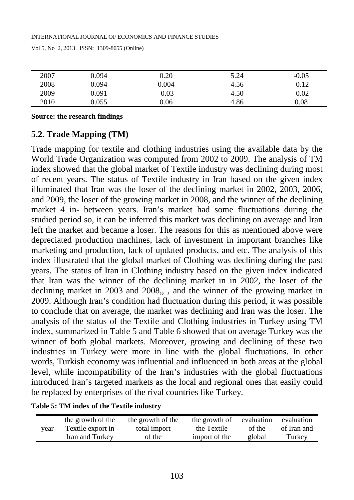| 2007 | 1.094 | 0.20       | 5.24 | 0.05<br>-1 |
|------|-------|------------|------|------------|
| 2008 | ).094 | 0.004      | 4.56 | --         |
| 2009 | 091   | 0.03<br>-- | 4.50 | --         |
|      | -055، | 0.06       | 4.86 | $0.08\,$   |

**Source: the research findings**

## **5.2. Trade Mapping (TM)**

Trade mapping for textile and clothing industries using the available data by the World Trade Organization was computed from 2002 to 2009. The analysis of TM index showed that the global market of Textile industry was declining during most of recent years. The status of Textile industry in Iran based on the given index illuminated that Iran was the loser of the declining market in 2002, 2003, 2006, and 2009, the loser of the growing market in 2008, and the winner of the declining market 4 in- between years. Iran's market had some fluctuations during the studied period so, it can be inferred this market was declining on average and Iran left the market and became a loser. The reasons for this as mentioned above were depreciated production machines, lack of investment in important branches like marketing and production, lack of updated products, and etc. The analysis of this index illustrated that the global market of Clothing was declining during the past years. The status of Iran in Clothing industry based on the given index indicated that Iran was the winner of the declining market in in 2002, the loser of the declining market in 2003 and 2008,, , and the winner of the growing market in 2009. Although Iran's condition had fluctuation during this period, it was possible to conclude that on average, the market was declining and Iran was the loser. The analysis of the status of the Textile and Clothing industries in Turkey using TM index, summarized in [Table 5](#page-8-0) and [Table 6](#page-9-0) showed that on average Turkey was the winner of both global markets. Moreover, growing and declining of these two industries in Turkey were more in line with the global fluctuations. In other words, Turkish economy was influential and influenced in both areas at the global level, while incompatibility of the Iran's industries with the global fluctuations introduced Iran's targeted markets as the local and regional ones that easily could be replaced by enterprises of the rival countries like Turkey.

<span id="page-8-0"></span>

|  |  |  | Table 5: TM index of the Textile industry |
|--|--|--|-------------------------------------------|
|  |  |  |                                           |

| vear | the growth of the | the growth of the | the growth of | evaluation | evaluation  |
|------|-------------------|-------------------|---------------|------------|-------------|
|      | Textile export in | total import      | the Textile   | of the     | of Iran and |
|      | Iran and Turkey   | of the            | import of the | global     | Turkey      |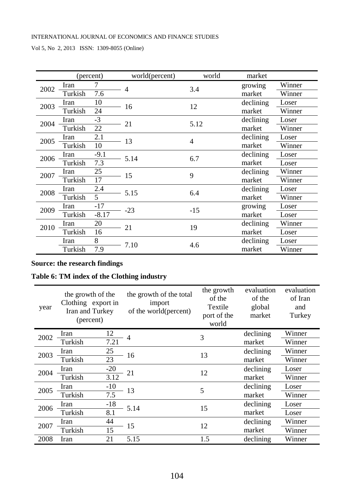|      |         | (percent) | world(percent) | world   | market    |        |
|------|---------|-----------|----------------|---------|-----------|--------|
| 2002 | Iran    | 7         | $\overline{4}$ | 3.4     | growing   | Winner |
|      | Turkish | 7.6       |                |         | market    | Winner |
| 2003 | Iran    | 10        | 16             | 12      | declining | Loser  |
|      | Turkish | 24        |                |         | market    | Winner |
| 2004 | Iran    | $-3$      | 21             | 5.12    | declining | Loser  |
|      | Turkish | 22        |                |         | market    | Winner |
| 2005 | Iran    | 2.1       | 13             | 4       | declining | Loser  |
|      | Turkish | 10        |                |         | market    | Winner |
| 2006 | Iran    | $-9.1$    | 5.14           | 6.7     | declining | Loser  |
|      | Turkish | 7.3       |                |         | market    | Loser  |
| 2007 | Iran    | 25        |                | 15<br>9 | declining | Winner |
|      | Turkish | 17        |                |         | market    | Winner |
| 2008 | Iran    | 2.4       | 5.15           | 6.4     | declining | Loser  |
|      | Turkish | 5         |                |         | market    | Winner |
| 2009 | Iran    | $-17$     | $-23$          | $-15$   | growing   | Loser  |
|      | Turkish | $-8.17$   |                |         | market    | Loser  |
| 2010 | Iran    | 20        | 21             | 19      | declining | Winner |
|      | Turkish | 16        |                |         | market    | Loser  |
|      | Iran    | 8         | 7.10           | 4.6     | declining | Loser  |
|      | Turkish | 7.9       |                |         | market    | Winner |

#### **Source: the research findings**

#### <span id="page-9-0"></span>**Table 6: TM index of the Clothing industry**

| year | the growth of the<br>Clothing export in<br>Iran and Turkey<br>(percent) |                  | the growth of the total<br>import<br>of the world(percent) | the growth<br>of the<br>Textile<br>port of the<br>world | evaluation<br>of the<br>global<br>market | evaluation<br>of Iran<br>and<br>Turkey |
|------|-------------------------------------------------------------------------|------------------|------------------------------------------------------------|---------------------------------------------------------|------------------------------------------|----------------------------------------|
| 2002 | Iran                                                                    | 12               | $\overline{4}$                                             | 3                                                       | declining                                | Winner                                 |
|      | Turkish                                                                 | 7.21             |                                                            |                                                         | market                                   | Winner                                 |
| 2003 | Iran                                                                    | 25               | 16                                                         | 13                                                      | declining                                | Winner                                 |
|      | Turkish                                                                 | 23               |                                                            |                                                         | market                                   | Winner                                 |
| 2004 | Iran                                                                    | $-20$            | 21                                                         | 12                                                      | declining                                | Loser                                  |
|      | Turkish                                                                 | 3.12             |                                                            |                                                         | market                                   | Winner                                 |
| 2005 | Iran                                                                    | $-10$            | 13                                                         | 5                                                       | declining                                | Loser                                  |
|      | Turkish                                                                 | $\overline{7.5}$ |                                                            |                                                         | market                                   | Winner                                 |
| 2006 | Iran                                                                    | $-18$            | 5.14                                                       | 15                                                      | declining                                | Loser                                  |
|      | Turkish                                                                 | 8.1              |                                                            |                                                         | market                                   | Loser                                  |
|      | Iran                                                                    | 44               |                                                            |                                                         | declining                                | Winner                                 |
| 2007 | Turkish                                                                 | 15               | 15                                                         | 12                                                      | market                                   | Winner                                 |
| 2008 | Iran                                                                    | 21               | 5.15                                                       | 1.5                                                     | declining                                | Winner                                 |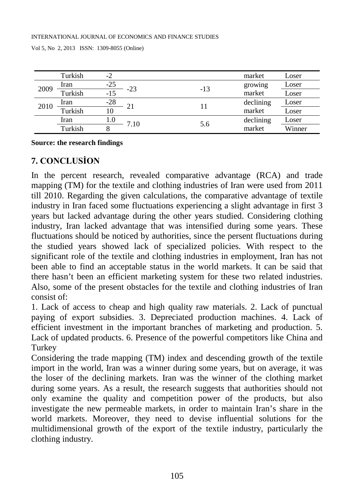|      | Turkish | -2    |      |       | market    | Loser  |
|------|---------|-------|------|-------|-----------|--------|
| 2009 | Iran    | $-25$ | -23  | $-13$ | growing   | Loser  |
|      | Turkish | $-15$ |      |       | market    | Loser  |
| 2010 | Iran    | $-28$ |      | 11    | declining | Loser  |
|      | Turkish | 10    |      |       | market    | Loser  |
|      | Iran    | 1.0   | 7.10 | 5.6   | declining | Loser  |
|      | Turkish |       |      |       | market    | Winner |

#### **Source: the research findings**

## **7. CONCLUSİON**

In the percent research, revealed comparative advantage (RCA) and trade mapping (TM) for the textile and clothing industries of Iran were used from 2011 till 2010. Regarding the given calculations, the comparative advantage of textile industry in Iran faced some fluctuations experiencing a slight advantage in first 3 years but lacked advantage during the other years studied. Considering clothing industry, Iran lacked advantage that was intensified during some years. These fluctuations should be noticed by authorities, since the persent fluctuations during the studied years showed lack of specialized policies. With respect to the significant role of the textile and clothing industries in employment, Iran has not been able to find an acceptable status in the world markets. It can be said that there hasn't been an efficient marketing system for these two related industries. Also, some of the present obstacles for the textile and clothing industries of Iran consist of:

1. Lack of access to cheap and high quality raw materials. 2. Lack of punctual paying of export subsidies. 3. Depreciated production machines. 4. Lack of efficient investment in the important branches of marketing and production. 5. Lack of updated products. 6. Presence of the powerful competitors like China and Turkey

Considering the trade mapping (TM) index and descending growth of the textile import in the world, Iran was a winner during some years, but on average, it was the loser of the declining markets. Iran was the winner of the clothing market during some years. As a result, the research suggests that authorities should not only examine the quality and competition power of the products, but also investigate the new permeable markets, in order to maintain Iran's share in the world markets. Moreover, they need to devise influential solutions for the multidimensional growth of the export of the textile industry, particularly the clothing industry.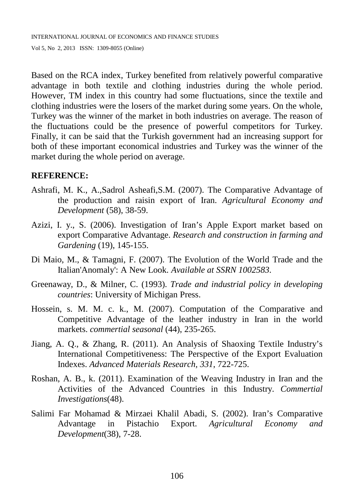INTERNATIONAL JOURNAL OF ECONOMICS AND FINANCE STUDIES

Vol 5, No 2, 2013 ISSN: 1309-8055 (Online)

Based on the RCA index, Turkey benefited from relatively powerful comparative advantage in both textile and clothing industries during the whole period. However, TM index in this country had some fluctuations, since the textile and clothing industries were the losers of the market during some years. On the whole, Turkey was the winner of the market in both industries on average. The reason of the fluctuations could be the presence of powerful competitors for Turkey. Finally, it can be said that the Turkish government had an increasing support for both of these important economical industries and Turkey was the winner of the market during the whole period on average.

#### **REFERENCE:**

- <span id="page-11-4"></span>Ashrafi, M. K., A.,Sadrol Asheafi,S.M. (2007). The Comparative Advantage of the production and raisin export of Iran. *Agricultural Economy and Development* (58), 38-59.
- <span id="page-11-3"></span>Azizi, I. y., S. (2006). Investigation of Iran's Apple Export market based on export Comparative Advantage. *Research and construction in farming and Gardening* (19), 145-155.
- <span id="page-11-5"></span>Di Maio, M., & Tamagni, F. (2007). The Evolution of the World Trade and the Italian'Anomaly': A New Look. *Available at SSRN 1002583*.
- <span id="page-11-7"></span>Greenaway, D., & Milner, C. (1993). *Trade and industrial policy in developing countries*: University of Michigan Press.
- <span id="page-11-1"></span>Hossein, s. M. M. c. k., M. (2007). Computation of the Comparative and Competitive Advantage of the leather industry in Iran in the world markets. *commertial seasonal* (44), 235-265.
- <span id="page-11-6"></span>Jiang, A. Q., & Zhang, R. (2011). An Analysis of Shaoxing Textile Industry's International Competitiveness: The Perspective of the Export Evaluation Indexes. *Advanced Materials Research, 331*, 722-725.
- <span id="page-11-0"></span>Roshan, A. B., k. (2011). Examination of the Weaving Industry in Iran and the Activities of the Advanced Countries in this Industry. *Commertial Investigations*(48).
- <span id="page-11-2"></span>Salimi Far Mohamad & Mirzaei Khalil Abadi, S. (2002). Iran's Comparative Advantage in Pistachio Export. *Agricultural Economy and Development*(38), 7-28.